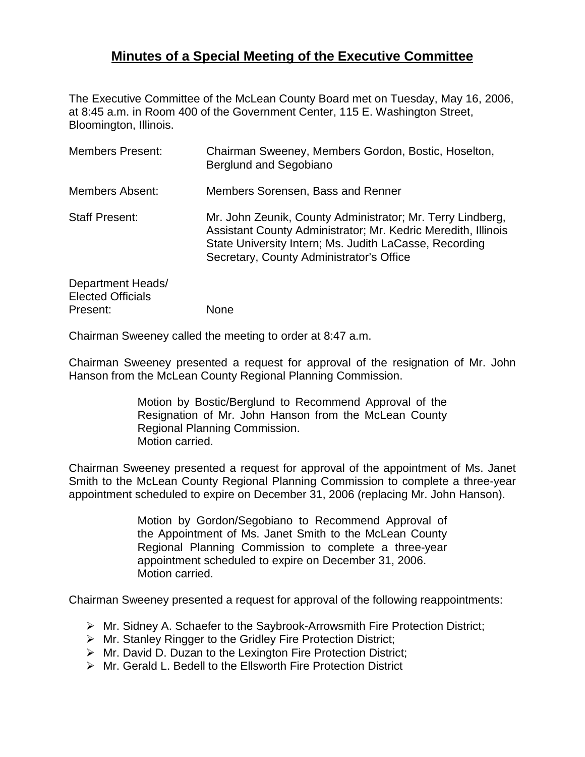## **Minutes of a Special Meeting of the Executive Committee**

The Executive Committee of the McLean County Board met on Tuesday, May 16, 2006, at 8:45 a.m. in Room 400 of the Government Center, 115 E. Washington Street, Bloomington, Illinois.

| <b>Members Present:</b>                                   | Chairman Sweeney, Members Gordon, Bostic, Hoselton,<br>Berglund and Segobiano                                                                                                                                                     |
|-----------------------------------------------------------|-----------------------------------------------------------------------------------------------------------------------------------------------------------------------------------------------------------------------------------|
| <b>Members Absent:</b>                                    | Members Sorensen, Bass and Renner                                                                                                                                                                                                 |
| <b>Staff Present:</b>                                     | Mr. John Zeunik, County Administrator; Mr. Terry Lindberg,<br>Assistant County Administrator; Mr. Kedric Meredith, Illinois<br>State University Intern; Ms. Judith LaCasse, Recording<br>Secretary, County Administrator's Office |
| Department Heads/<br><b>Elected Officials</b><br>Present: | None                                                                                                                                                                                                                              |

Chairman Sweeney called the meeting to order at 8:47 a.m.

Chairman Sweeney presented a request for approval of the resignation of Mr. John Hanson from the McLean County Regional Planning Commission.

> Motion by Bostic/Berglund to Recommend Approval of the Resignation of Mr. John Hanson from the McLean County Regional Planning Commission. Motion carried.

Chairman Sweeney presented a request for approval of the appointment of Ms. Janet Smith to the McLean County Regional Planning Commission to complete a three-year appointment scheduled to expire on December 31, 2006 (replacing Mr. John Hanson).

> Motion by Gordon/Segobiano to Recommend Approval of the Appointment of Ms. Janet Smith to the McLean County Regional Planning Commission to complete a three-year appointment scheduled to expire on December 31, 2006. Motion carried.

Chairman Sweeney presented a request for approval of the following reappointments:

- $\triangleright$  Mr. Sidney A. Schaefer to the Saybrook-Arrowsmith Fire Protection District;
- Mr. Stanley Ringger to the Gridley Fire Protection District;
- $\triangleright$  Mr. David D. Duzan to the Lexington Fire Protection District:
- Mr. Gerald L. Bedell to the Ellsworth Fire Protection District